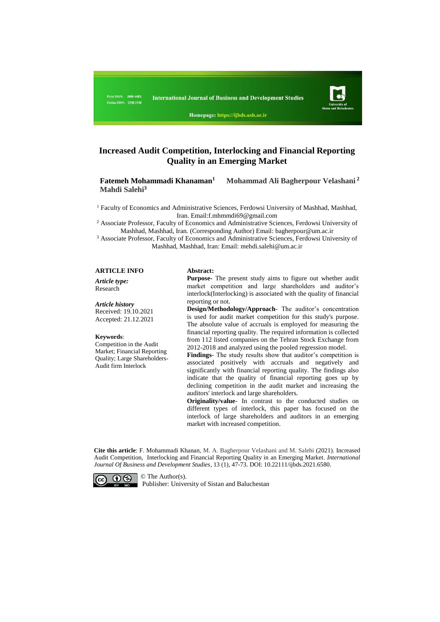

Homepage: https://ijbds.usb.ac.ir

## **Increased Audit Competition, Interlocking and Financial Reporting Quality in an Emerging Market**

 **Fatemeh Mohammadi Khanaman<sup>1</sup> Mohammad Ali Bagherpour Velashani <sup>2</sup> Mahdi Salehi<sup>3</sup>**

<sup>1</sup> Faculty of Economics and Administrative Sciences, Ferdowsi University of Mashhad, Mashhad, Iran. Email:f.mhmmdi69@gmail.com

<sup>2</sup> Associate Professor, Faculty of Economics and Administrative Sciences, Ferdowsi University of Mashhad, Mashhad, Iran. (Corresponding Author) Email: [bagherpour@um.ac.ir](mailto:bagherpour@um.ac.ir)

<sup>3</sup> Associate Professor, Faculty of Economics and Administrative Sciences, Ferdowsi University of Mashhad, Mashhad, Iran: Email: [mehdi.salehi@um.ac.ir](mailto:mehdi.salehi@um.ac.ir)

#### **ARTICLE INFO Abstract:**

*Article type:*

# Research

*Article history* Received: 19.10.2021 Accepted: 21.12.2021

#### **Keywords**:

Competition in the Audit Market; Financial Reporting Quality; Large Shareholders-Audit firm Interlock

**Purpose-** The present study aims to figure out whether audit market competition and large shareholders and auditor's interlock(Interlocking) is associated with the quality of financial reporting or not.

**Design/Methodology/Approach**- The auditor's concentration is used for audit market competition for this study's purpose. The absolute value of accruals is employed for measuring the financial reporting quality. The required information is collected from 112 listed companies on the Tehran Stock Exchange from 2012-2018 and analyzed using the pooled regression model.

**Findings**- The study results show that auditor's competition is associated positively with accruals and negatively and significantly with financial reporting quality. The findings also indicate that the quality of financial reporting goes up by declining competition in the audit market and increasing the auditors' interlock and large shareholders.

**Originality/value**- In contrast to the conducted studies on different types of interlock, this paper has focused on the interlock of large shareholders and auditors in an emerging market with increased competition.

**Cite this article**: F. Mohammadi Khanan, M. A. Bagherpour Velashani and M. Salehi (2021). Increased Audit Competition, Interlocking and Financial Reporting Quality in an Emerging Market. *International Journal Of Business and Development Studies*, 13 (1), 47-73. DOI: 10.22111/ijbds.2021.6580.



Publisher: University of Sistan and Baluchestan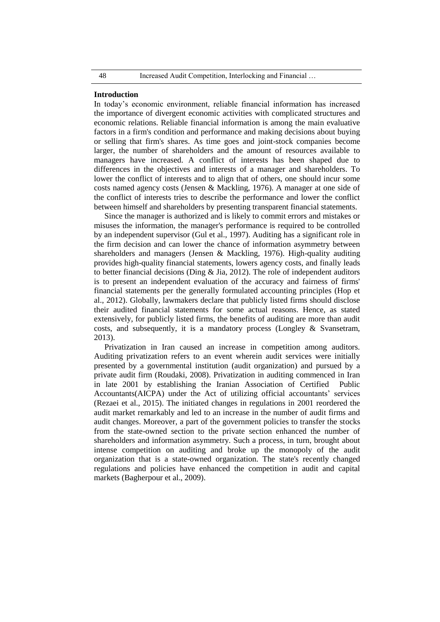#### **Introduction**

In today's economic environment, reliable financial information has increased the importance of divergent economic activities with complicated structures and economic relations. Reliable financial information is among the main evaluative factors in a firm's condition and performance and making decisions about buying or selling that firm's shares. As time goes and joint-stock companies become larger, the number of shareholders and the amount of resources available to managers have increased. A conflict of interests has been shaped due to differences in the objectives and interests of a manager and shareholders. To lower the conflict of interests and to align that of others, one should incur some costs named agency costs (Jensen & Mackling, 1976). A manager at one side of the conflict of interests tries to describe the performance and lower the conflict between himself and shareholders by presenting transparent financial statements.

Since the manager is authorized and is likely to commit errors and mistakes or misuses the information, the manager's performance is required to be controlled by an independent supervisor (Gul et al., 1997). Auditing has a significant role in the firm decision and can lower the chance of information asymmetry between shareholders and managers (Jensen & Mackling, 1976). High-quality auditing provides high-quality financial statements, lowers agency costs, and finally leads to better financial decisions (Ding & Jia, 2012). The role of independent auditors is to present an independent evaluation of the accuracy and fairness of firms' financial statements per the generally formulated accounting principles (Hop et al., 2012). Globally, lawmakers declare that publicly listed firms should disclose their audited financial statements for some actual reasons. Hence, as stated extensively, for publicly listed firms, the benefits of auditing are more than audit costs, and subsequently, it is a mandatory process (Longley & Svansetram, 2013).

Privatization in Iran caused an increase in competition among auditors. Auditing privatization refers to an event wherein audit services were initially presented by a governmental institution (audit organization) and pursued by a private audit firm (Roudaki, 2008). Privatization in auditing commenced in Iran in late 2001 by establishing the Iranian Association of Certified Public Accountants(AICPA) under the Act of utilizing official accountants' services (Rezaei et al., 2015). The initiated changes in regulations in 2001 reordered the audit market remarkably and led to an increase in the number of audit firms and audit changes. Moreover, a part of the government policies to transfer the stocks from the state-owned section to the private section enhanced the number of shareholders and information asymmetry. Such a process, in turn, brought about intense competition on auditing and broke up the monopoly of the audit organization that is a state-owned organization. The state's recently changed regulations and policies have enhanced the competition in audit and capital markets (Bagherpour et al., 2009).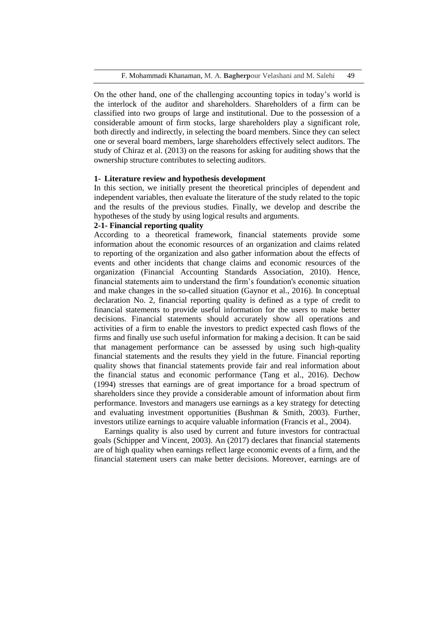On the other hand, one of the challenging accounting topics in today's world is the interlock of the auditor and shareholders. Shareholders of a firm can be classified into two groups of large and institutional. Due to the possession of a considerable amount of firm stocks, large shareholders play a significant role, both directly and indirectly, in selecting the board members. Since they can select one or several board members, large shareholders effectively select auditors. The study of Chiraz et al. (2013) on the reasons for asking for auditing shows that the ownership structure contributes to selecting auditors.

## **1- Literature review and hypothesis development**

In this section, we initially present the theoretical principles of dependent and independent variables, then evaluate the literature of the study related to the topic and the results of the previous studies. Finally, we develop and describe the hypotheses of the study by using logical results and arguments.

## **2-1- Financial reporting quality**

According to a theoretical framework, financial statements provide some information about the economic resources of an organization and claims related to reporting of the organization and also gather information about the effects of events and other incidents that change claims and economic resources of the organization (Financial Accounting Standards Association, 2010). Hence, financial statements aim to understand the firm's foundation's economic situation and make changes in the so-called situation (Gaynor et al., 2016). In conceptual declaration No. 2, financial reporting quality is defined as a type of credit to financial statements to provide useful information for the users to make better decisions. Financial statements should accurately show all operations and activities of a firm to enable the investors to predict expected cash flows of the firms and finally use such useful information for making a decision. It can be said that management performance can be assessed by using such high-quality financial statements and the results they yield in the future. Financial reporting quality shows that financial statements provide fair and real information about the financial status and economic performance (Tang et al., 2016). Dechow (1994) stresses that earnings are of great importance for a broad spectrum of shareholders since they provide a considerable amount of information about firm performance. Investors and managers use earnings as a key strategy for detecting and evaluating investment opportunities (Bushman & Smith, 2003). Further, investors utilize earnings to acquire valuable information (Francis et al., 2004).

Earnings quality is also used by current and future investors for contractual goals (Schipper and Vincent, 2003). An (2017) declares that financial statements are of high quality when earnings reflect large economic events of a firm, and the financial statement users can make better decisions. Moreover, earnings are of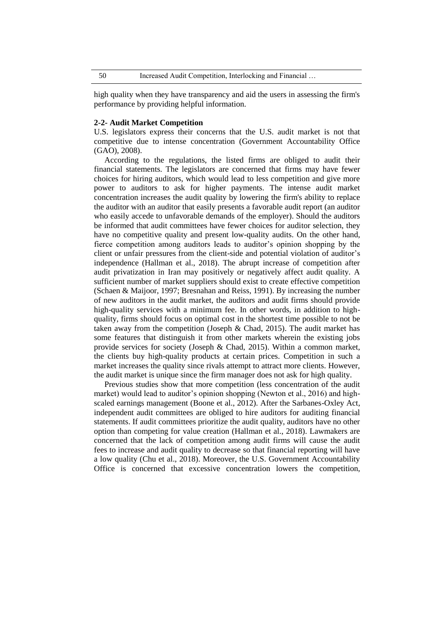high quality when they have transparency and aid the users in assessing the firm's performance by providing helpful information.

#### **2-2- Audit Market Competition**

U.S. legislators express their concerns that the U.S. audit market is not that competitive due to intense concentration (Government Accountability Office (GAO), 2008).

According to the regulations, the listed firms are obliged to audit their financial statements. The legislators are concerned that firms may have fewer choices for hiring auditors, which would lead to less competition and give more power to auditors to ask for higher payments. The intense audit market concentration increases the audit quality by lowering the firm's ability to replace the auditor with an auditor that easily presents a favorable audit report (an auditor who easily accede to unfavorable demands of the employer). Should the auditors be informed that audit committees have fewer choices for auditor selection, they have no competitive quality and present low-quality audits. On the other hand, fierce competition among auditors leads to auditor's opinion shopping by the client or unfair pressures from the client-side and potential violation of auditor's independence (Hallman et al., 2018). The abrupt increase of competition after audit privatization in Iran may positively or negatively affect audit quality. A sufficient number of market suppliers should exist to create effective competition (Schaen & Maijoor, 1997; Bresnahan and Reiss, 1991). By increasing the number of new auditors in the audit market, the auditors and audit firms should provide high-quality services with a minimum fee. In other words, in addition to highquality, firms should focus on optimal cost in the shortest time possible to not be taken away from the competition (Joseph  $\&$  Chad, 2015). The audit market has some features that distinguish it from other markets wherein the existing jobs provide services for society (Joseph & Chad, 2015). Within a common market, the clients buy high-quality products at certain prices. Competition in such a market increases the quality since rivals attempt to attract more clients. However, the audit market is unique since the firm manager does not ask for high quality.

Previous studies show that more competition (less concentration of the audit market) would lead to auditor's opinion shopping (Newton et al., 2016) and highscaled earnings management (Boone et al., 2012). After the Sarbanes-Oxley Act, independent audit committees are obliged to hire auditors for auditing financial statements. If audit committees prioritize the audit quality, auditors have no other option than competing for value creation (Hallman et al., 2018). Lawmakers are concerned that the lack of competition among audit firms will cause the audit fees to increase and audit quality to decrease so that financial reporting will have a low quality (Chu et al., 2018). Moreover, the U.S. Government Accountability Office is concerned that excessive concentration lowers the competition,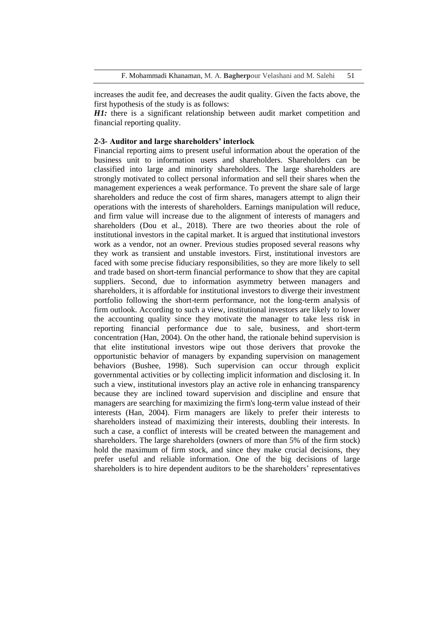increases the audit fee, and decreases the audit quality. Given the facts above, the first hypothesis of the study is as follows:

*H1*: there is a significant relationship between audit market competition and financial reporting quality.

## **2-3- Auditor and large shareholders' interlock**

Financial reporting aims to present useful information about the operation of the business unit to information users and shareholders. Shareholders can be classified into large and minority shareholders. The large shareholders are strongly motivated to collect personal information and sell their shares when the management experiences a weak performance. To prevent the share sale of large shareholders and reduce the cost of firm shares, managers attempt to align their operations with the interests of shareholders. Earnings manipulation will reduce, and firm value will increase due to the alignment of interests of managers and shareholders (Dou et al., 2018). There are two theories about the role of institutional investors in the capital market. It is argued that institutional investors work as a vendor, not an owner. Previous studies proposed several reasons why they work as transient and unstable investors. First, institutional investors are faced with some precise fiduciary responsibilities, so they are more likely to sell and trade based on short-term financial performance to show that they are capital suppliers. Second, due to information asymmetry between managers and shareholders, it is affordable for institutional investors to diverge their investment portfolio following the short-term performance, not the long-term analysis of firm outlook. According to such a view, institutional investors are likely to lower the accounting quality since they motivate the manager to take less risk in reporting financial performance due to sale, business, and short-term concentration (Han, 2004). On the other hand, the rationale behind supervision is that elite institutional investors wipe out those derivers that provoke the opportunistic behavior of managers by expanding supervision on management behaviors (Bushee, 1998). Such supervision can occur through explicit governmental activities or by collecting implicit information and disclosing it. In such a view, institutional investors play an active role in enhancing transparency because they are inclined toward supervision and discipline and ensure that managers are searching for maximizing the firm's long-term value instead of their interests (Han, 2004). Firm managers are likely to prefer their interests to shareholders instead of maximizing their interests, doubling their interests. In such a case, a conflict of interests will be created between the management and shareholders. The large shareholders (owners of more than 5% of the firm stock) hold the maximum of firm stock, and since they make crucial decisions, they prefer useful and reliable information. One of the big decisions of large shareholders is to hire dependent auditors to be the shareholders' representatives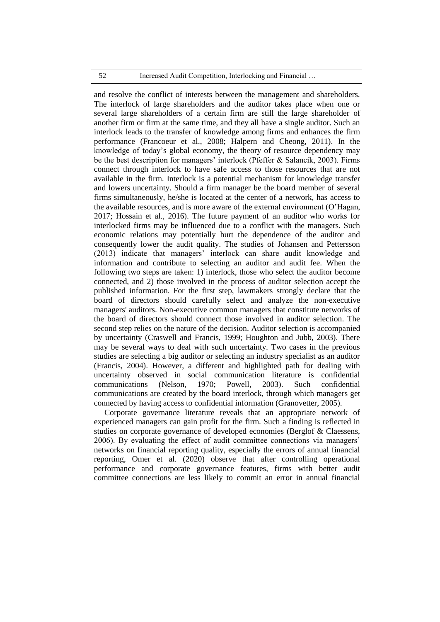#### 52 Increased Audit Competition, Interlocking and Financial …

and resolve the conflict of interests between the management and shareholders. The interlock of large shareholders and the auditor takes place when one or several large shareholders of a certain firm are still the large shareholder of another firm or firm at the same time, and they all have a single auditor. Such an interlock leads to the transfer of knowledge among firms and enhances the firm performance (Francoeur et al., 2008; Halpern and Cheong, 2011). In the knowledge of today's global economy, the theory of resource dependency may be the best description for managers' interlock (Pfeffer & Salancik, 2003). Firms connect through interlock to have safe access to those resources that are not available in the firm. Interlock is a potential mechanism for knowledge transfer and lowers uncertainty. Should a firm manager be the board member of several firms simultaneously, he/she is located at the center of a network, has access to the available resources, and is more aware of the external environment (O'Hagan, 2017; Hossain et al., 2016). The future payment of an auditor who works for interlocked firms may be influenced due to a conflict with the managers. Such economic relations may potentially hurt the dependence of the auditor and consequently lower the audit quality. The studies of Johansen and Pettersson (2013) indicate that managers' interlock can share audit knowledge and information and contribute to selecting an auditor and audit fee. When the following two steps are taken: 1) interlock, those who select the auditor become connected, and 2) those involved in the process of auditor selection accept the published information. For the first step, lawmakers strongly declare that the board of directors should carefully select and analyze the non-executive managers' auditors. Non-executive common managers that constitute networks of the board of directors should connect those involved in auditor selection. The second step relies on the nature of the decision. Auditor selection is accompanied by uncertainty (Craswell and Francis, 1999; Houghton and Jubb, 2003). There may be several ways to deal with such uncertainty. Two cases in the previous studies are selecting a big auditor or selecting an industry specialist as an auditor (Francis, 2004). However, a different and highlighted path for dealing with uncertainty observed in social communication literature is confidential communications (Nelson, 1970; Powell, 2003). Such confidential communications are created by the board interlock, through which managers get connected by having access to confidential information (Granovetter, 2005).

Corporate governance literature reveals that an appropriate network of experienced managers can gain profit for the firm. Such a finding is reflected in studies on corporate governance of developed economies (Berglof & Claessens, 2006). By evaluating the effect of audit committee connections via managers' networks on financial reporting quality, especially the errors of annual financial reporting, Omer et al. (2020) observe that after controlling operational performance and corporate governance features, firms with better audit committee connections are less likely to commit an error in annual financial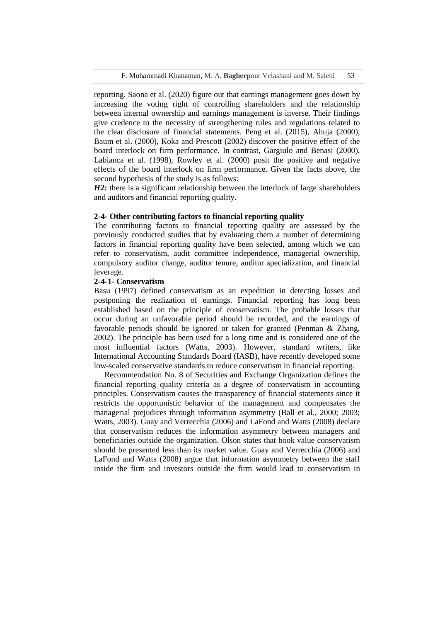F. Mohammadi Khanaman, M. A. **Bagherp**our Velashani and M. Salehi 53

reporting. Saona et al. (2020) figure out that earnings management goes down by increasing the voting right of controlling shareholders and the relationship between internal ownership and earnings management is inverse. Their findings give credence to the necessity of strengthening rules and regulations related to the clear disclosure of financial statements. Peng et al. (2015), Ahuja (2000), Baum et al. (2000), Koka and Prescott (2002) discover the positive effect of the board interlock on firm performance. In contrast, Gargiulo and Benasi (2000), Labianca et al. (1998), Rowley et al. (2000) posit the positive and negative effects of the board interlock on firm performance. Given the facts above, the second hypothesis of the study is as follows:

*H2*: there is a significant relationship between the interlock of large shareholders and auditors and financial reporting quality.

## **2-4- Other contributing factors to financial reporting quality**

The contributing factors to financial reporting quality are assessed by the previously conducted studies that by evaluating them a number of determining factors in financial reporting quality have been selected, among which we can refer to conservatism, audit committee independence, managerial ownership, compulsory auditor change, auditor tenure, auditor specialization, and financial leverage.

## **2-4-1- Conservatism**

Basu (1997) defined conservatism as an expedition in detecting losses and postponing the realization of earnings. Financial reporting has long been established based on the principle of conservatism. The probable losses that occur during an unfavorable period should be recorded, and the earnings of favorable periods should be ignored or taken for granted (Penman & Zhang, 2002). The principle has been used for a long time and is considered one of the most influential factors (Watts, 2003). However, standard writers, like International Accounting Standards Board (IASB), have recently developed some low-scaled conservative standards to reduce conservatism in financial reporting.

Recommendation No. 8 of Securities and Exchange Organization defines the financial reporting quality criteria as a degree of conservatism in accounting principles. Conservatism causes the transparency of financial statements since it restricts the opportunistic behavior of the management and compensates the managerial prejudices through information asymmetry (Ball et al., 2000; 2003; Watts, 2003). Guay and Verrecchia (2006) and LaFond and Watts (2008) declare that conservatism reduces the information asymmetry between managers and beneficiaries outside the organization. Olson states that book value conservatism should be presented less than its market value. Guay and Verrecchia (2006) and LaFond and Watts (2008) argue that information asymmetry between the staff inside the firm and investors outside the firm would lead to conservatism in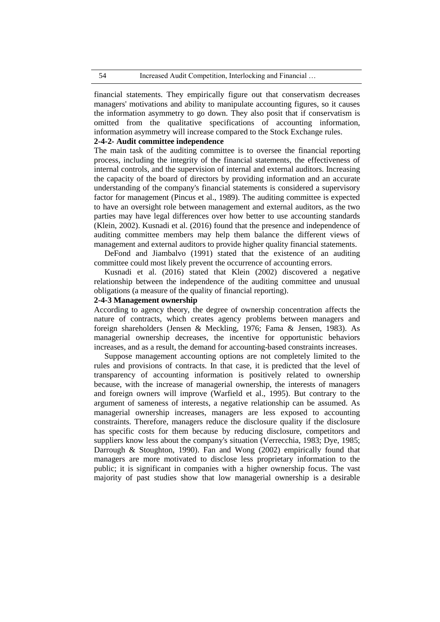financial statements. They empirically figure out that conservatism decreases managers' motivations and ability to manipulate accounting figures, so it causes the information asymmetry to go down. They also posit that if conservatism is omitted from the qualitative specifications of accounting information, information asymmetry will increase compared to the Stock Exchange rules.

## **2-4-2- Audit committee independence**

The main task of the auditing committee is to oversee the financial reporting process, including the integrity of the financial statements, the effectiveness of internal controls, and the supervision of internal and external auditors. Increasing the capacity of the board of directors by providing information and an accurate understanding of the company's financial statements is considered a supervisory factor for management (Pincus et al., 1989). The auditing committee is expected to have an oversight role between management and external auditors, as the two parties may have legal differences over how better to use accounting standards (Klein, 2002). Kusnadi et al. (2016) found that the presence and independence of auditing committee members may help them balance the different views of management and external auditors to provide higher quality financial statements.

DeFond and Jiambalvo (1991) stated that the existence of an auditing committee could most likely prevent the occurrence of accounting errors.

Kusnadi et al. (2016) stated that Klein (2002) discovered a negative relationship between the independence of the auditing committee and unusual obligations (a measure of the quality of financial reporting).

### **2-4-3 Management ownership**

According to agency theory, the degree of ownership concentration affects the nature of contracts, which creates agency problems between managers and foreign shareholders (Jensen & Meckling, 1976; Fama & Jensen, 1983). As managerial ownership decreases, the incentive for opportunistic behaviors increases, and as a result, the demand for accounting-based constraints increases.

Suppose management accounting options are not completely limited to the rules and provisions of contracts. In that case, it is predicted that the level of transparency of accounting information is positively related to ownership because, with the increase of managerial ownership, the interests of managers and foreign owners will improve (Warfield et al., 1995). But contrary to the argument of sameness of interests, a negative relationship can be assumed. As managerial ownership increases, managers are less exposed to accounting constraints. Therefore, managers reduce the disclosure quality if the disclosure has specific costs for them because by reducing disclosure, competitors and suppliers know less about the company's situation (Verrecchia, 1983; Dye, 1985; Darrough & Stoughton, 1990). Fan and Wong (2002) empirically found that managers are more motivated to disclose less proprietary information to the public; it is significant in companies with a higher ownership focus. The vast majority of past studies show that low managerial ownership is a desirable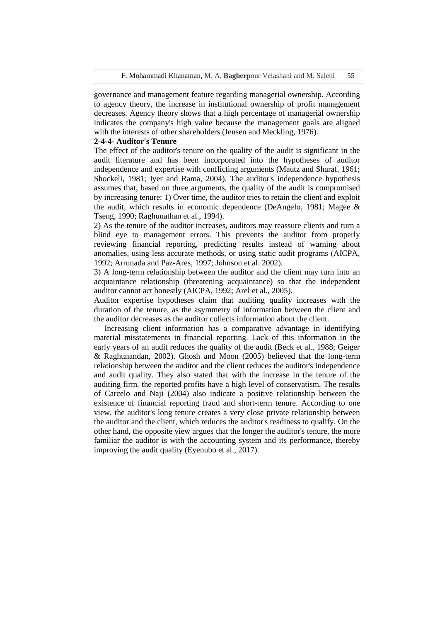governance and management feature regarding managerial ownership. According to agency theory, the increase in institutional ownership of profit management decreases. Agency theory shows that a high percentage of managerial ownership indicates the company's high value because the management goals are aligned with the interests of other shareholders (Jensen and Meckling, 1976).

## **2-4-4- Auditor's Tenure**

The effect of the auditor's tenure on the quality of the audit is significant in the audit literature and has been incorporated into the hypotheses of auditor independence and expertise with conflicting arguments (Mautz and Sharaf, 1961; Shockeli, 1981; Iyer and Rama, 2004). The auditor's independence hypothesis assumes that, based on three arguments, the quality of the audit is compromised by increasing tenure: 1) Over time, the auditor tries to retain the client and exploit the audit, which results in economic dependence (DeAngelo, 1981; Magee & Tseng, 1990; Raghunathan et al., 1994).

2) As the tenure of the auditor increases, auditors may reassure clients and turn a blind eye to management errors. This prevents the auditor from properly reviewing financial reporting, predicting results instead of warning about anomalies, using less accurate methods, or using static audit programs (AICPA, 1992; Arrunada and Paz-Ares, 1997; Johnson et al. 2002).

3) A long-term relationship between the auditor and the client may turn into an acquaintance relationship (threatening acquaintance) so that the independent auditor cannot act honestly (AICPA, 1992; Arel et al., 2005).

Auditor expertise hypotheses claim that auditing quality increases with the duration of the tenure, as the asymmetry of information between the client and the auditor decreases as the auditor collects information about the client.

Increasing client information has a comparative advantage in identifying material misstatements in financial reporting. Lack of this information in the early years of an audit reduces the quality of the audit (Beck et al., 1988; Geiger & Raghunandan, 2002). Ghosh and Moon (2005) believed that the long-term relationship between the auditor and the client reduces the auditor's independence and audit quality. They also stated that with the increase in the tenure of the auditing firm, the reported profits have a high level of conservatism. The results of Carcelo and Naji (2004) also indicate a positive relationship between the existence of financial reporting fraud and short-term tenure. According to one view, the auditor's long tenure creates a very close private relationship between the auditor and the client, which reduces the auditor's readiness to qualify. On the other hand, the opposite view argues that the longer the auditor's tenure, the more familiar the auditor is with the accounting system and its performance, thereby improving the audit quality (Eyenubo et al., 2017).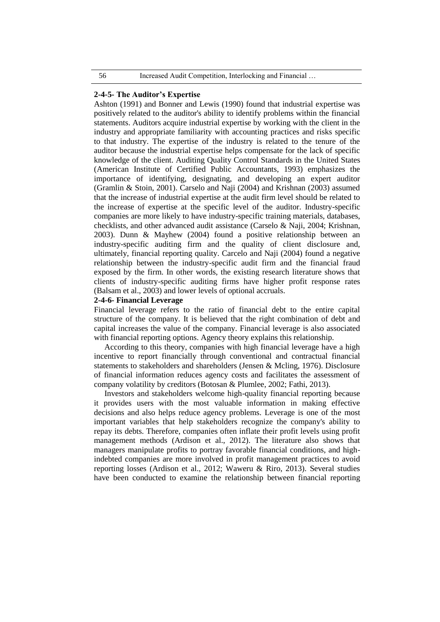### **2-4-5- The Auditor's Expertise**

Ashton (1991) and Bonner and Lewis (1990) found that industrial expertise was positively related to the auditor's ability to identify problems within the financial statements. Auditors acquire industrial expertise by working with the client in the industry and appropriate familiarity with accounting practices and risks specific to that industry. The expertise of the industry is related to the tenure of the auditor because the industrial expertise helps compensate for the lack of specific knowledge of the client. Auditing Quality Control Standards in the United States (American Institute of Certified Public Accountants, 1993) emphasizes the importance of identifying, designating, and developing an expert auditor (Gramlin & Stoin, 2001). Carselo and Naji (2004) and Krishnan (2003) assumed that the increase of industrial expertise at the audit firm level should be related to the increase of expertise at the specific level of the auditor. Industry-specific companies are more likely to have industry-specific training materials, databases, checklists, and other advanced audit assistance (Carselo & Naji, 2004; Krishnan, 2003). Dunn & Mayhew (2004) found a positive relationship between an industry-specific auditing firm and the quality of client disclosure and, ultimately, financial reporting quality. Carcelo and Naji (2004) found a negative relationship between the industry-specific audit firm and the financial fraud exposed by the firm. In other words, the existing research literature shows that clients of industry-specific auditing firms have higher profit response rates (Balsam et al., 2003) and lower levels of optional accruals.

#### **2-4-6- Financial Leverage**

Financial leverage refers to the ratio of financial debt to the entire capital structure of the company. It is believed that the right combination of debt and capital increases the value of the company. Financial leverage is also associated with financial reporting options. Agency theory explains this relationship.

According to this theory, companies with high financial leverage have a high incentive to report financially through conventional and contractual financial statements to stakeholders and shareholders (Jensen & Mcling, 1976). Disclosure of financial information reduces agency costs and facilitates the assessment of company volatility by creditors (Botosan & Plumlee, 2002; Fathi, 2013).

Investors and stakeholders welcome high-quality financial reporting because it provides users with the most valuable information in making effective decisions and also helps reduce agency problems. Leverage is one of the most important variables that help stakeholders recognize the company's ability to repay its debts. Therefore, companies often inflate their profit levels using profit management methods (Ardison et al., 2012). The literature also shows that managers manipulate profits to portray favorable financial conditions, and highindebted companies are more involved in profit management practices to avoid reporting losses (Ardison et al., 2012; Waweru & Riro, 2013). Several studies have been conducted to examine the relationship between financial reporting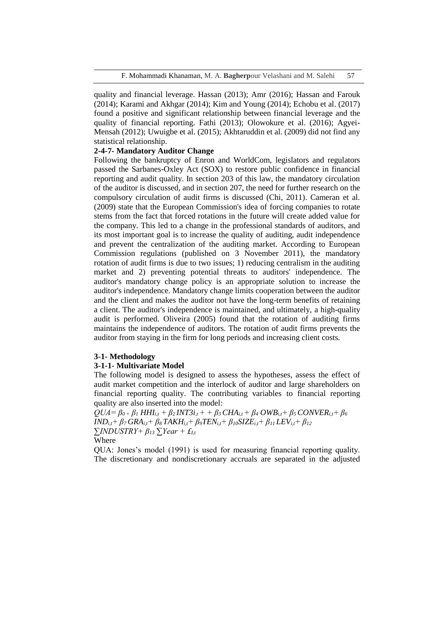quality and financial leverage. Hassan (2013); Amr (2016); Hassan and Farouk (2014); Karami and Akhgar (2014); Kim and Young (2014); Echobu et al. (2017) found a positive and significant relationship between financial leverage and the quality of financial reporting. Fathi (2013); Olowokure et al. (2016); Agyei-Mensah (2012); Uwuigbe et al. (2015); Akhtaruddin et al. (2009) did not find any statistical relationship.

## **2-4-7- Mandatory Auditor Change**

Following the bankruptcy of Enron and WorldCom, legislators and regulators passed the Sarbanes-Oxley Act (SOX) to restore public confidence in financial reporting and audit quality. In section 203 of this law, the mandatory circulation of the auditor is discussed, and in section 207, the need for further research on the compulsory circulation of audit firms is discussed (Chi, 2011). Cameran et al. (2009) state that the European Commission's idea of forcing companies to rotate stems from the fact that forced rotations in the future will create added value for the company. This led to a change in the professional standards of auditors, and its most important goal is to increase the quality of auditing, audit independence and prevent the centralization of the auditing market. According to European Commission regulations (published on 3 November 2011), the mandatory rotation of audit firms is due to two issues; 1) reducing centralism in the auditing market and 2) preventing potential threats to auditors' independence. The auditor's mandatory change policy is an appropriate solution to increase the auditor's independence. Mandatory change limits cooperation between the auditor and the client and makes the auditor not have the long-term benefits of retaining a client. The auditor's independence is maintained, and ultimately, a high-quality audit is performed. Oliveira (2005) found that the rotation of auditing firms maintains the independence of auditors. The rotation of audit firms prevents the auditor from staying in the firm for long periods and increasing client costs.

## **3-1- Methodology**

## **3-1-1- Multivariate Model**

The following model is designed to assess the hypotheses, assess the effect of audit market competition and the interlock of auditor and large shareholders on financial reporting quality. The contributing variables to financial reporting quality are also inserted into the model:

 $QUA = \beta_{0+} \beta_I HHI_{i,t} + \beta_2 INT3i_{,t} + \beta_3 CHA_{i,t} + \beta_4 OWB_{i,t} + \beta_5 CONVER_{i,t} + \beta_6$  $IND_{i,t} + \beta_7 GRA_{i,t} + \beta_8 TAKH_{i,t} + \beta_9 TEN_{i,t} + \beta_{10} SIZE_{i,t} + \beta_{11} LEV_{i,t} + \beta_{12}$  $\sum$ *INDUSTRY+*  $\beta_{13}$  $\sum$ *Year* + £*I*,*t*</sub> Where

QUA: Jones's model (1991) is used for measuring financial reporting quality. The discretionary and nondiscretionary accruals are separated in the adjusted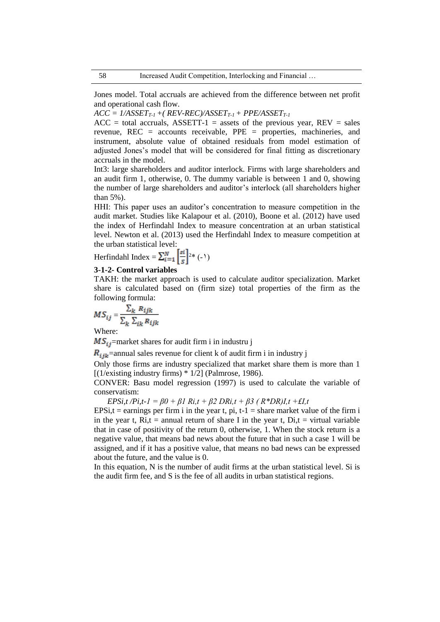Jones model. Total accruals are achieved from the difference between net profit and operational cash flow.

 $ACC = I/ASSET_{T-1} + (REV-REC)/ASSET_{T-1} + PPE/ASSET_{T-1}$ 

 $ACC = total$  accruals,  $ASSETT-1 =$  assets of the previous year,  $REV =$  sales revenue, REC = accounts receivable, PPE = properties, machineries, and instrument, absolute value of obtained residuals from model estimation of adjusted Jones's model that will be considered for final fitting as discretionary accruals in the model.

Int3: large shareholders and auditor interlock. Firms with large shareholders and an audit firm 1, otherwise, 0. The dummy variable is between 1 and 0, showing the number of large shareholders and auditor's interlock (all shareholders higher than 5%).

HHI: This paper uses an auditor's concentration to measure competition in the audit market. Studies like Kalapour et al. (2010), Boone et al. (2012) have used the index of Herfindahl Index to measure concentration at an urban statistical level. Newton et al. (2013) used the Herfindahl Index to measure competition at the urban statistical level:

Herfindahl Index =  $\sum_{i=1}^{N} \frac{s_i}{s}$  (-1)

## **3-1-2- Control variables**

TAKH: the market approach is used to calculate auditor specialization. Market share is calculated based on (firm size) total properties of the firm as the following formula:

$$
MS_{ij} = \frac{\sum_{k} R_{ijk}}{\sum_{k} \sum_{ik} R_{ijk}}
$$

Where:

 $MS_{ij}$ =market shares for audit firm i in industru j

 $R_{ijk}$ =annual sales revenue for client k of audit firm i in industry j

Only those firms are industry specialized that market share them is more than 1 [ $(1/existing industry firms) * 1/2$ ] (Palmrose, 1986).

CONVER: Basu model regression (1997) is used to calculate the variable of conservatism:

*EPSi,t /Pi,t-1 = β0 + β1 Ri,t + β2 DRi,t + β3 ( R\*DR)I,t +£I,t*

EPSi,t = earnings per firm i in the year t, pi, t-1 = share market value of the firm i in the year t,  $Ri, t$  = annual return of share I in the year t,  $Di, t$  = virtual variable that in case of positivity of the return 0, otherwise, 1. When the stock return is a negative value, that means bad news about the future that in such a case 1 will be assigned, and if it has a positive value, that means no bad news can be expressed about the future, and the value is 0.

In this equation, N is the number of audit firms at the urban statistical level. Si is the audit firm fee, and S is the fee of all audits in urban statistical regions.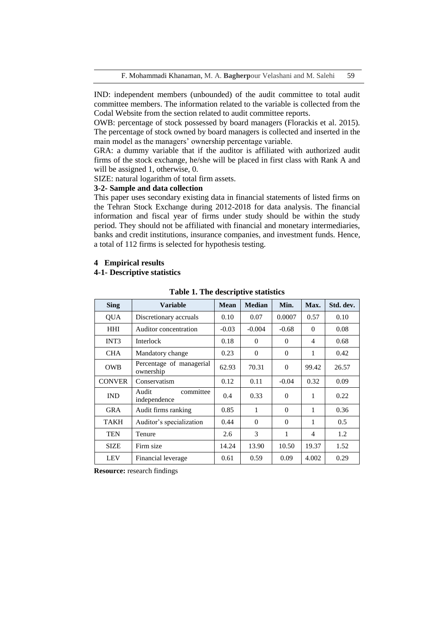IND: independent members (unbounded) of the audit committee to total audit committee members. The information related to the variable is collected from the Codal Website from the section related to audit committee reports.

OWB: percentage of stock possessed by board managers (Florackis et al. 2015). The percentage of stock owned by board managers is collected and inserted in the main model as the managers' ownership percentage variable.

GRA: a dummy variable that if the auditor is affiliated with authorized audit firms of the stock exchange, he/she will be placed in first class with Rank A and will be assigned 1, otherwise, 0.

SIZE: natural logarithm of total firm assets.

## **3-2- Sample and data collection**

This paper uses secondary existing data in financial statements of listed firms on the Tehran Stock Exchange during 2012-2018 for data analysis. The financial information and fiscal year of firms under study should be within the study period. They should not be affiliated with financial and monetary intermediaries, banks and credit institutions, insurance companies, and investment funds. Hence, a total of 112 firms is selected for hypothesis testing.

## **4 Empirical results**

## **4-1- Descriptive statistics**

| <b>Sing</b>   | Variable                              | <b>Mean</b> | <b>Median</b> | Min.     | Max.     | Std. dev. |
|---------------|---------------------------------------|-------------|---------------|----------|----------|-----------|
| <b>OUA</b>    | Discretionary accruals                | 0.10        | 0.07          | 0.0007   | 0.57     | 0.10      |
| <b>HHI</b>    | Auditor concentration                 | $-0.03$     | $-0.004$      | $-0.68$  | $\Omega$ | 0.08      |
| INT3          | <b>Interlock</b>                      | 0.18        | $\Omega$      | $\Omega$ | 4        | 0.68      |
| <b>CHA</b>    | Mandatory change                      | 0.23        | $\theta$      | $\Omega$ | 1        | 0.42      |
| <b>OWB</b>    | Percentage of managerial<br>ownership | 62.93       | 70.31         | $\Omega$ | 99.42    | 26.57     |
| <b>CONVER</b> | Conservatism                          | 0.12        | 0.11          | $-0.04$  | 0.32     | 0.09      |
| <b>IND</b>    | Audit<br>committee<br>independence    | 0.4         | 0.33          | $\Omega$ | 1        | 0.22      |
| <b>GRA</b>    | Audit firms ranking                   | 0.85        | 1             | $\theta$ | 1        | 0.36      |
| <b>TAKH</b>   | Auditor's specialization              | 0.44        | $\Omega$      | $\Omega$ | 1        | 0.5       |
| <b>TEN</b>    | Tenure                                | 2.6         | 3             | 1        | 4        | 1.2       |
| <b>SIZE</b>   | Firm size                             | 14.24       | 13.90         | 10.50    | 19.37    | 1.52      |
| <b>LEV</b>    | Financial leverage                    | 0.61        | 0.59          | 0.09     | 4.002    | 0.29      |

**Table 1. The descriptive statistics**

**Resource:** research findings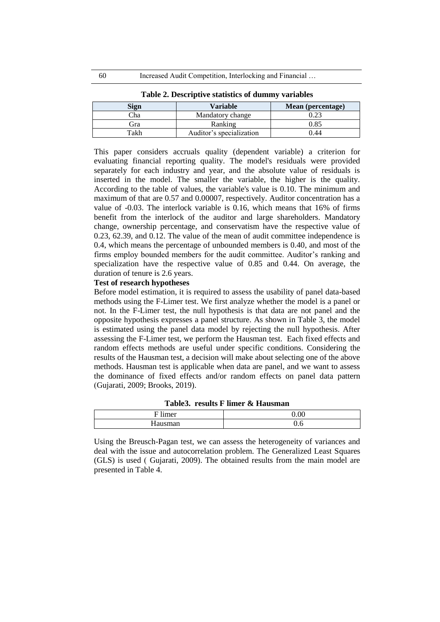| Sign | <b>Variable</b>          | Mean (percentage) |
|------|--------------------------|-------------------|
| Cha  | Mandatory change         |                   |
| Èra  | Ranking                  | 0.85              |
| Takh | Auditor's specialization | ).44              |

**Table 2. Descriptive statistics of dummy variables**

This paper considers accruals quality (dependent variable) a criterion for evaluating financial reporting quality. The model's residuals were provided separately for each industry and year, and the absolute value of residuals is inserted in the model. The smaller the variable, the higher is the quality. According to the table of values, the variable's value is 0.10. The minimum and maximum of that are 0.57 and 0.00007, respectively. Auditor concentration has a value of -0.03. The interlock variable is 0.16, which means that 16% of firms benefit from the interlock of the auditor and large shareholders. Mandatory change, ownership percentage, and conservatism have the respective value of 0.23, 62.39, and 0.12. The value of the mean of audit committee independence is 0.4, which means the percentage of unbounded members is 0.40, and most of the firms employ bounded members for the audit committee. Auditor's ranking and specialization have the respective value of 0.85 and 0.44. On average, the duration of tenure is 2.6 years.

#### **Test of research hypotheses**

Before model estimation, it is required to assess the usability of panel data-based methods using the F-Limer test. We first analyze whether the model is a panel or not. In the F-Limer test, the null hypothesis is that data are not panel and the opposite hypothesis expresses a panel structure. As shown in Table 3, the model is estimated using the panel data model by rejecting the null hypothesis. After assessing the F-Limer test, we perform the Hausman test. Each fixed effects and random effects methods are useful under specific conditions. Considering the results of the Hausman test, a decision will make about selecting one of the above methods. Hausman test is applicable when data are panel, and we want to assess the dominance of fixed effects and/or random effects on panel data pattern )Gujarati, 2009; Brooks, 2019).

| $\cdot$<br>–<br>ımar<br>⊢<br>           | $\sim$ $\sim$ |
|-----------------------------------------|---------------|
| TТ<br>$\alpha$<br>33.0488<br>$\sim$<br> |               |

**Table3. results F limer & Hausman**

Using the Breusch-Pagan test, we can assess the heterogeneity of variances and deal with the issue and autocorrelation problem. The Generalized Least Squares (GLS) is used (Gujarati, 2009). The obtained results from the main model are presented in Table 4.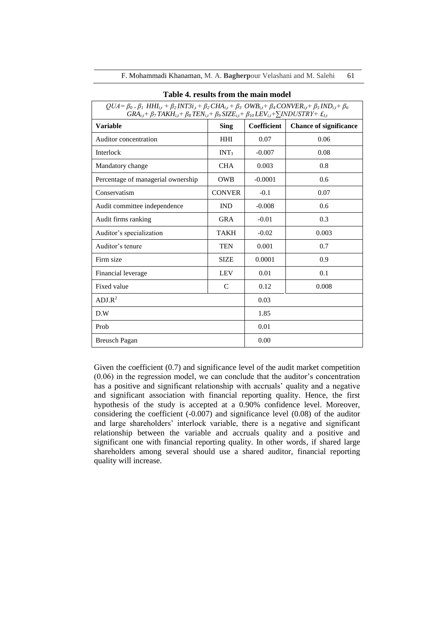| Table 4. results from the main model                                                                                                                                                                                                                                                                                                         |                  |             |                               |  |  |  |  |  |  |
|----------------------------------------------------------------------------------------------------------------------------------------------------------------------------------------------------------------------------------------------------------------------------------------------------------------------------------------------|------------------|-------------|-------------------------------|--|--|--|--|--|--|
| $QUA = \beta_{0+}\beta_1 HHI_{i,t} + \beta_2 INT3i_{,t} + \beta_2 CHA_{i,t} + \beta_3 OWB_{i,t} + \beta_4 CONVER_{i,t} + \beta_5 IND_{i,t} + \beta_6$<br>$GRA_{i,t}$ + $\beta_7$ TAKH <sub>it</sub> + $\beta_8$ TEN <sub>it</sub> + $\beta_9$ SIZE <sub>it</sub> + $\beta_{10}$ LEV <sub>it</sub> + $\sum$ INDUSTRY+ $\pounds$ <sub>It</sub> |                  |             |                               |  |  |  |  |  |  |
| <b>Variable</b>                                                                                                                                                                                                                                                                                                                              | <b>Sing</b>      | Coefficient | <b>Chance of significance</b> |  |  |  |  |  |  |
| Auditor concentration                                                                                                                                                                                                                                                                                                                        | <b>HHI</b>       | 0.07        | 0.06                          |  |  |  |  |  |  |
| Interlock                                                                                                                                                                                                                                                                                                                                    | INT <sub>3</sub> | $-0.007$    | 0.08                          |  |  |  |  |  |  |
| Mandatory change                                                                                                                                                                                                                                                                                                                             | <b>CHA</b>       | 0.003       | 0.8                           |  |  |  |  |  |  |
| Percentage of managerial ownership                                                                                                                                                                                                                                                                                                           | <b>OWB</b>       | $-0.0001$   | 0.6                           |  |  |  |  |  |  |
| Conservatism                                                                                                                                                                                                                                                                                                                                 | <b>CONVER</b>    | $-0.1$      | 0.07                          |  |  |  |  |  |  |
| Audit committee independence                                                                                                                                                                                                                                                                                                                 | <b>IND</b>       | $-0.008$    | 0.6                           |  |  |  |  |  |  |
| Audit firms ranking                                                                                                                                                                                                                                                                                                                          | <b>GRA</b>       | $-0.01$     | 0.3                           |  |  |  |  |  |  |
| Auditor's specialization                                                                                                                                                                                                                                                                                                                     | <b>TAKH</b>      | $-0.02$     | 0.003                         |  |  |  |  |  |  |
| Auditor's tenure                                                                                                                                                                                                                                                                                                                             | <b>TEN</b>       | 0.001       | 0.7                           |  |  |  |  |  |  |
| Firm size                                                                                                                                                                                                                                                                                                                                    | <b>SIZE</b>      | 0.0001      | 0.9                           |  |  |  |  |  |  |
| Financial leverage                                                                                                                                                                                                                                                                                                                           | <b>LEV</b>       | 0.01        | 0.1                           |  |  |  |  |  |  |
| Fixed value                                                                                                                                                                                                                                                                                                                                  | $\mathcal{C}$    | 0.12        | 0.008                         |  |  |  |  |  |  |
| ADJ.R <sup>2</sup>                                                                                                                                                                                                                                                                                                                           |                  | 0.03        |                               |  |  |  |  |  |  |
| D.W                                                                                                                                                                                                                                                                                                                                          | 1.85             |             |                               |  |  |  |  |  |  |
| Prob                                                                                                                                                                                                                                                                                                                                         | 0.01             |             |                               |  |  |  |  |  |  |
| <b>Breusch Pagan</b>                                                                                                                                                                                                                                                                                                                         | 0.00             |             |                               |  |  |  |  |  |  |

F. Mohammadi Khanaman, M. A. Bagherpour Velashani and M. Salehi 61

Given the coefficient (0.7) and significance level of the audit market competition (0.06) in the regression model, we can conclude that the auditor's concentration has a positive and significant relationship with accruals' quality and a negative and significant association with financial reporting quality. Hence, the first hypothesis of the study is accepted at a 0.90% confidence level. Moreover, considering the coefficient  $(-0.007)$  and significance level  $(0.08)$  of the auditor and large shareholders' interlock variable, there is a negative and significant relationship between the variable and accruals quality and a positive and significant one with financial reporting quality. In other words, if shared large shareholders among several should use a shared auditor, financial reporting quality will increase.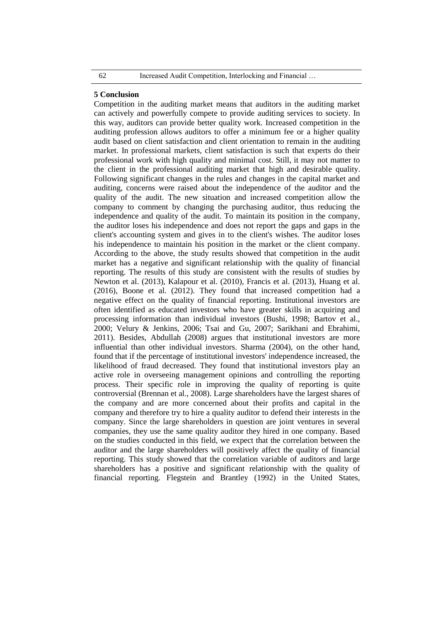#### **5 Conclusion**

Competition in the auditing market means that auditors in the auditing market can actively and powerfully compete to provide auditing services to society. In this way, auditors can provide better quality work. Increased competition in the auditing profession allows auditors to offer a minimum fee or a higher quality audit based on client satisfaction and client orientation to remain in the auditing market. In professional markets, client satisfaction is such that experts do their professional work with high quality and minimal cost. Still, it may not matter to the client in the professional auditing market that high and desirable quality. Following significant changes in the rules and changes in the capital market and auditing, concerns were raised about the independence of the auditor and the quality of the audit. The new situation and increased competition allow the company to comment by changing the purchasing auditor, thus reducing the independence and quality of the audit. To maintain its position in the company, the auditor loses his independence and does not report the gaps and gaps in the client's accounting system and gives in to the client's wishes. The auditor loses his independence to maintain his position in the market or the client company. According to the above, the study results showed that competition in the audit market has a negative and significant relationship with the quality of financial reporting. The results of this study are consistent with the results of studies by Newton et al. (2013), Kalapour et al. (2010), Francis et al. (2013), Huang et al. (2016), Boone et al. (2012). They found that increased competition had a negative effect on the quality of financial reporting. Institutional investors are often identified as educated investors who have greater skills in acquiring and processing information than individual investors (Bushi, 1998; Bartov et al., 2000; Velury & Jenkins, 2006; Tsai and Gu, 2007; Sarikhani and Ebrahimi, 2011). Besides, Abdullah (2008) argues that institutional investors are more influential than other individual investors. Sharma (2004), on the other hand, found that if the percentage of institutional investors' independence increased, the likelihood of fraud decreased. They found that institutional investors play an active role in overseeing management opinions and controlling the reporting process. Their specific role in improving the quality of reporting is quite controversial (Brennan et al., 2008). Large shareholders have the largest shares of the company and are more concerned about their profits and capital in the company and therefore try to hire a quality auditor to defend their interests in the company. Since the large shareholders in question are joint ventures in several companies, they use the same quality auditor they hired in one company. Based on the studies conducted in this field, we expect that the correlation between the auditor and the large shareholders will positively affect the quality of financial reporting. This study showed that the correlation variable of auditors and large shareholders has a positive and significant relationship with the quality of financial reporting. Flegstein and Brantley (1992) in the United States,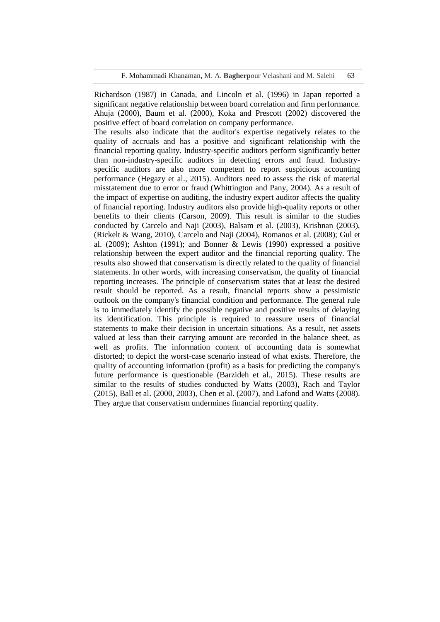F. Mohammadi Khanaman, M. A. **Bagherp**our Velashani and M. Salehi 63

Richardson (1987) in Canada, and Lincoln et al. (1996) in Japan reported a significant negative relationship between board correlation and firm performance. Ahuja (2000), Baum et al. (2000), Koka and Prescott (2002) discovered the positive effect of board correlation on company performance.

The results also indicate that the auditor's expertise negatively relates to the quality of accruals and has a positive and significant relationship with the financial reporting quality. Industry-specific auditors perform significantly better than non-industry-specific auditors in detecting errors and fraud. Industryspecific auditors are also more competent to report suspicious accounting performance (Hegazy et al., 2015). Auditors need to assess the risk of material misstatement due to error or fraud (Whittington and Pany, 2004). As a result of the impact of expertise on auditing, the industry expert auditor affects the quality of financial reporting. Industry auditors also provide high-quality reports or other benefits to their clients (Carson, 2009). This result is similar to the studies conducted by Carcelo and Naji (2003), Balsam et al. (2003), Krishnan (2003), (Rickelt & Wang, 2010), Carcelo and Naji (2004), Romanos et al. (2008); Gul et al. (2009); Ashton (1991); and Bonner & Lewis (1990) expressed a positive relationship between the expert auditor and the financial reporting quality. The results also showed that conservatism is directly related to the quality of financial statements. In other words, with increasing conservatism, the quality of financial reporting increases. The principle of conservatism states that at least the desired result should be reported. As a result, financial reports show a pessimistic outlook on the company's financial condition and performance. The general rule is to immediately identify the possible negative and positive results of delaying its identification. This principle is required to reassure users of financial statements to make their decision in uncertain situations. As a result, net assets valued at less than their carrying amount are recorded in the balance sheet, as well as profits. The information content of accounting data is somewhat distorted; to depict the worst-case scenario instead of what exists. Therefore, the quality of accounting information (profit) as a basis for predicting the company's future performance is questionable (Barzideh et al., 2015). These results are similar to the results of studies conducted by Watts (2003), Rach and Taylor (2015), Ball et al. (2000, 2003), Chen et al. (2007), and Lafond and Watts (2008). They argue that conservatism undermines financial reporting quality.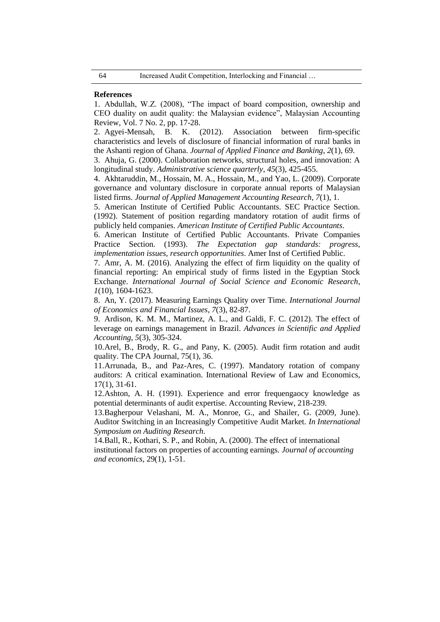#### **References**

1. Abdullah, W.Z. (2008), "The impact of board composition, ownership and CEO duality on audit quality: the Malaysian evidence", Malaysian Accounting Review, Vol. 7 No. 2, pp. 17-28.

2. Agyei-Mensah, B. K. (2012). Association between firm-specific characteristics and levels of disclosure of financial information of rural banks in the Ashanti region of Ghana. *Journal of Applied Finance and Banking*, *2*(1), 69.

3. Ahuja, G. (2000). Collaboration networks, structural holes, and innovation: A longitudinal study. *Administrative science quarterly*, *45*(3), 425-455.

4. Akhtaruddin, M., Hossain, M. A., Hossain, M., and Yao, L. (2009). Corporate governance and voluntary disclosure in corporate annual reports of Malaysian listed firms. *Journal of Applied Management Accounting Research*, *7*(1), 1.

5. American Institute of Certified Public Accountants. SEC Practice Section. (1992). Statement of position regarding mandatory rotation of audit firms of publicly held companies. *American Institute of Certified Public Accountants*.

6. American Institute of Certified Public Accountants. Private Companies Practice Section. (1993). *The Expectation gap standards: progress, implementation issues, research opportunities*. Amer Inst of Certified Public.

7. Amr, A. M. (2016). Analyzing the effect of firm liquidity on the quality of financial reporting: An empirical study of firms listed in the Egyptian Stock Exchange. *International Journal of Social Science and Economic Research*, *1*(10), 1604-1623.

8. An, Y. (2017). Measuring Earnings Quality over Time. *International Journal of Economics and Financial Issues*, *7*(3), 82-87.

9. Ardison, K. M. M., Martinez, A. L., and Galdi, F. C. (2012). The effect of leverage on earnings management in Brazil. *Advances in Scientific and Applied Accounting*, *5*(3), 305-324.

10.Arel, B., Brody, R. G., and Pany, K. (2005). Audit firm rotation and audit quality. The CPA Journal, 75(1), 36.

11.Arrunada, B., and Paz-Ares, C. (1997). Mandatory rotation of company auditors: A critical examination. International Review of Law and Economics, 17(1), 31-61.

12.Ashton, A. H. (1991). Experience and error frequengaocy knowledge as potential determinants of audit expertise. Accounting Review, 218-239.

13.Bagherpour Velashani, M. A., Monroe, G., and Shailer, G. (2009, June). Auditor Switching in an Increasingly Competitive Audit Market. *In International Symposium on Auditing Research.*

14.Ball, R., Kothari, S. P., and Robin, A. (2000). The effect of international institutional factors on properties of accounting earnings. *Journal of accounting and economics*, 29(1), 1-51.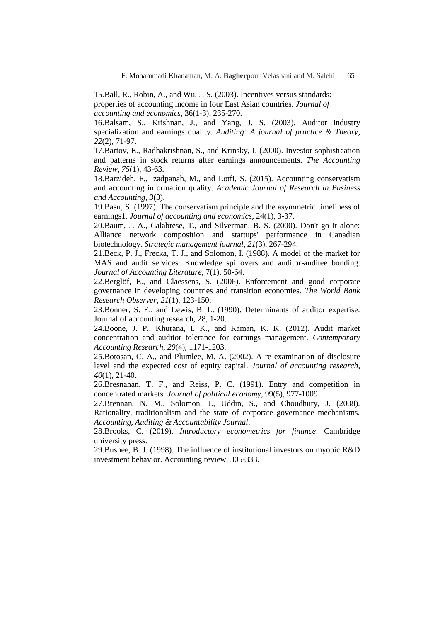15.Ball, R., Robin, A., and Wu, J. S. (2003). Incentives versus standards: properties of accounting income in four East Asian countries. *Journal of accounting and economics*, 36(1-3), 235-270.

16.Balsam, S., Krishnan, J., and Yang, J. S. (2003). Auditor industry specialization and earnings quality. *Auditing: A journal of practice & Theory*, *22*(2), 71-97.

17.Bartov, E., Radhakrishnan, S., and Krinsky, I. (2000). Investor sophistication and patterns in stock returns after earnings announcements. *The Accounting Review*, *75*(1), 43-63.

18.Barzideh, F., Izadpanah, M., and Lotfi, S. (2015). Accounting conservatism and accounting information quality. *Academic Journal of Research in Business and Accounting*, *3*(3).

19.Basu, S. (1997). The conservatism principle and the asymmetric timeliness of earnings1. *Journal of accounting and economics*, 24(1), 3-37.

20.Baum, J. A., Calabrese, T., and Silverman, B. S. (2000). Don't go it alone: Alliance network composition and startups' performance in Canadian biotechnology. *Strategic management journal*, *21*(3), 267-294.

21.Beck, P. J., Frecka, T. J., and Solomon, I. (1988). A model of the market for MAS and audit services: Knowledge spillovers and auditor-auditee bonding. *Journal of Accounting Literature*, 7(1), 50-64.

22.Berglöf, E., and Claessens, S. (2006). Enforcement and good corporate governance in developing countries and transition economies. *The World Bank Research Observer*, *21*(1), 123-150.

23.Bonner, S. E., and Lewis, B. L. (1990). Determinants of auditor expertise. Journal of accounting research, 28, 1-20.

24.Boone, J. P., Khurana, I. K., and Raman, K. K. (2012). Audit market concentration and auditor tolerance for earnings management. *Contemporary Accounting Research*, *29*(4), 1171-1203.

25.Botosan, C. A., and Plumlee, M. A. (2002). A re‐examination of disclosure level and the expected cost of equity capital. *Journal of accounting research*, *40*(1), 21-40.

26.Bresnahan, T. F., and Reiss, P. C. (1991). Entry and competition in concentrated markets. *Journal of political economy*, 99(5), 977-1009.

27.Brennan, N. M., Solomon, J., Uddin, S., and Choudhury, J. (2008). Rationality, traditionalism and the state of corporate governance mechanisms. *Accounting, Auditing & Accountability Journal*.

28.Brooks, C. (2019). *Introductory econometrics for finance*. Cambridge university press.

29.Bushee, B. J. (1998). The influence of institutional investors on myopic R&D investment behavior. Accounting review, 305-333.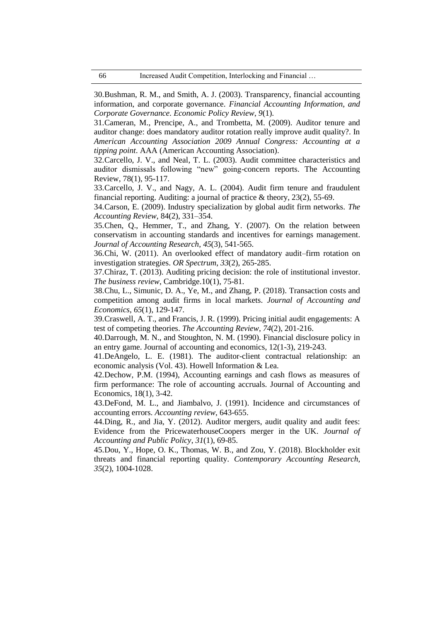30.Bushman, R. M., and Smith, A. J. (2003). Transparency, financial accounting information, and corporate governance. *Financial Accounting Information, and Corporate Governance. Economic Policy Review*, *9*(1).

31.Cameran, M., Prencipe, A., and Trombetta, M. (2009). Auditor tenure and auditor change: does mandatory auditor rotation really improve audit quality?. In *American Accounting Association 2009 Annual Congress: Accounting at a tipping point*. AAA (American Accounting Association).

32.Carcello, J. V., and Neal, T. L. (2003). Audit committee characteristics and auditor dismissals following "new" going-concern reports. The Accounting Review, 78(1), 95-117.

33.Carcello, J. V., and Nagy, A. L. (2004). Audit firm tenure and fraudulent financial reporting. Auditing: a journal of practice & theory, 23(2), 55-69.

34.Carson, E. (2009). Industry specialization by global audit firm networks. *The Accounting Review*, 84(2), 331–354.

35.Chen, Q., Hemmer, T., and Zhang, Y. (2007). On the relation between conservatism in accounting standards and incentives for earnings management. *Journal of Accounting Research*, *45*(3), 541-565.

36.Chi, W. (2011). An overlooked effect of mandatory audit–firm rotation on investigation strategies. *OR Spectrum*, *33*(2), 265-285.

37.Chiraz, T. (2013). Auditing pricing decision: the role of institutional investor. *The business review*, Cambridge.10(1), 75-81.

38.Chu, L., Simunic, D. A., Ye, M., and Zhang, P. (2018). Transaction costs and competition among audit firms in local markets. *Journal of Accounting and Economics*, *65*(1), 129-147.

39.Craswell, A. T., and Francis, J. R. (1999). Pricing initial audit engagements: A test of competing theories. *The Accounting Review*, *74*(2), 201-216.

40.Darrough, M. N., and Stoughton, N. M. (1990). Financial disclosure policy in an entry game. Journal of accounting and economics, 12(1-3), 219-243.

41.DeAngelo, L. E. (1981). The auditor-client contractual relationship: an economic analysis (Vol. 43). Howell Information & Lea.

42.Dechow, P.M. (1994), Accounting earnings and cash flows as measures of firm performance: The role of accounting accruals. Journal of Accounting and Economics, 18(1), 3-42.

43.DeFond, M. L., and Jiambalvo, J. (1991). Incidence and circumstances of accounting errors. *Accounting review*, 643-655.

44.Ding, R., and Jia, Y. (2012). Auditor mergers, audit quality and audit fees: Evidence from the PricewaterhouseCoopers merger in the UK. *Journal of Accounting and Public Policy*, *31*(1), 69-85.

45.Dou, Y., Hope, O. K., Thomas, W. B., and Zou, Y. (2018). Blockholder exit threats and financial reporting quality. *Contemporary Accounting Research*, *35*(2), 1004-1028.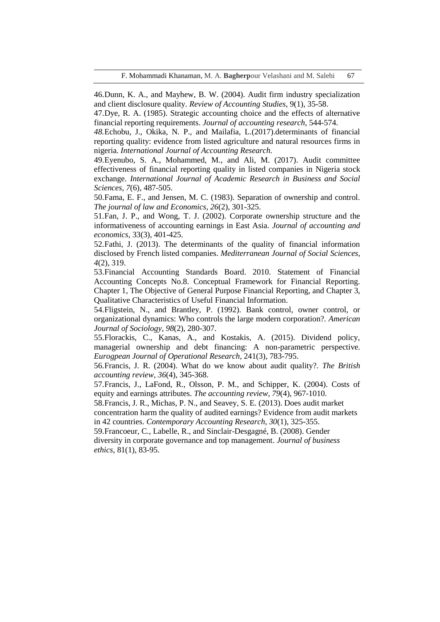46.Dunn, K. A., and Mayhew, B. W. (2004). Audit firm industry specialization and client disclosure quality. *Review of Accounting Studies*, 9(1), 35-58.

47.Dye, R. A. (1985). Strategic accounting choice and the effects of alternative financial reporting requirements. *Journal of accounting research*, 544-574.

*48.*Echobu, J., Okika, N. P., and Mailafia, L.(2017).determinants of financial reporting quality: evidence from listed agriculture and natural resources firms in nigeria. *International Journal of Accounting Research.*

49.Eyenubo, S. A., Mohammed, M., and Ali, M. (2017). Audit committee effectiveness of financial reporting quality in listed companies in Nigeria stock exchange. *International Journal of Academic Research in Business and Social Sciences*, *7*(6), 487-505.

50.Fama, E. F., and Jensen, M. C. (1983). Separation of ownership and control. *The journal of law and Economics*, *26*(2), 301-325.

51.Fan, J. P., and Wong, T. J. (2002). Corporate ownership structure and the informativeness of accounting earnings in East Asia. *Journal of accounting and economics*, 33(3), 401-425.

52.Fathi, J. (2013). The determinants of the quality of financial information disclosed by French listed companies. *Mediterranean Journal of Social Sciences*, *4*(2), 319.

53.Financial Accounting Standards Board. 2010. Statement of Financial Accounting Concepts No.8. Conceptual Framework for Financial Reporting. Chapter 1, The Objective of General Purpose Financial Reporting, and Chapter 3, Qualitative Characteristics of Useful Financial Information.

54.Fligstein, N., and Brantley, P. (1992). Bank control, owner control, or organizational dynamics: Who controls the large modern corporation?. *American Journal of Sociology*, *98*(2), 280-307.

55.Florackis, C., Kanas, A., and Kostakis, A. (2015). Dividend policy, managerial ownership and debt financing: A non-parametric perspective. *Eurogpean Journal of Operational Research*, 241(3), 783-795.

56.Francis, J. R. (2004). What do we know about audit quality?. *The British accounting review*, *36*(4), 345-368.

57.Francis, J., LaFond, R., Olsson, P. M., and Schipper, K. (2004). Costs of equity and earnings attributes. *The accounting review*, *79*(4), 967-1010.

58.Francis, J. R., Michas, P. N., and Seavey, S. E. (2013). Does audit market concentration harm the quality of audited earnings? Evidence from audit markets in 42 countries. *Contemporary Accounting Research*, *30*(1), 325-355.

59.Francoeur, C., Labelle, R., and Sinclair-Desgagné, B. (2008). Gender diversity in corporate governance and top management. *Journal of business ethics*, 81(1), 83-95.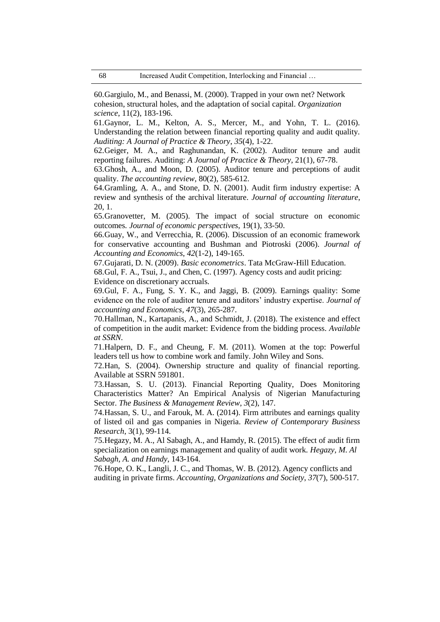60.Gargiulo, M., and Benassi, M. (2000). Trapped in your own net? Network cohesion, structural holes, and the adaptation of social capital. *Organization science*, 11(2), 183-196.

61.Gaynor, L. M., Kelton, A. S., Mercer, M., and Yohn, T. L. (2016). Understanding the relation between financial reporting quality and audit quality. *Auditing: A Journal of Practice & Theory*, *35*(4), 1-22.

62.Geiger, M. A., and Raghunandan, K. (2002). Auditor tenure and audit reporting failures. Auditing: *A Journal of Practice & Theory*, 21(1), 67-78.

63.Ghosh, A., and Moon, D. (2005). Auditor tenure and perceptions of audit quality. *The accounting review*, 80(2), 585-612.

64.Gramling, A. A., and Stone, D. N. (2001). Audit firm industry expertise: A review and synthesis of the archival literature. *Journal of accounting literature*, 20, 1.

65.Granovetter, M. (2005). The impact of social structure on economic outcomes*. Journal of economic perspectives*, 19(1), 33-50.

66.Guay, W., and Verrecchia, R. (2006). Discussion of an economic framework for conservative accounting and Bushman and Piotroski (2006). *Journal of Accounting and Economics*, *42*(1-2), 149-165.

67.Gujarati, D. N. (2009). *Basic econometrics*. Tata McGraw-Hill Education. 68.Gul, F. A., Tsui, J., and Chen, C. (1997). Agency costs and audit pricing: Evidence on discretionary accruals.

69.Gul, F. A., Fung, S. Y. K., and Jaggi, B. (2009). Earnings quality: Some evidence on the role of auditor tenure and auditors' industry expertise. *Journal of accounting and Economics*, *47*(3), 265-287.

70.Hallman, N., Kartapanis, A., and Schmidt, J. (2018). The existence and effect of competition in the audit market: Evidence from the bidding process. *Available at SSRN*.

71.Halpern, D. F., and Cheung, F. M. (2011). Women at the top: Powerful leaders tell us how to combine work and family. John Wiley and Sons.

72.Han, S. (2004). Ownership structure and quality of financial reporting. Available at SSRN 591801.

73.Hassan, S. U. (2013). Financial Reporting Quality, Does Monitoring Characteristics Matter? An Empirical Analysis of Nigerian Manufacturing Sector. *The Business & Management Review*, *3*(2), 147.

74.Hassan, S. U., and Farouk, M. A. (2014). Firm attributes and earnings quality of listed oil and gas companies in Nigeria. *Review of Contemporary Business Research*, 3(1), 99-114.

75.Hegazy, M. A., Al Sabagh, A., and Hamdy, R. (2015). The effect of audit firm specialization on earnings management and quality of audit work. *Hegazy, M. Al Sabagh, A. and Handy*, 143-164.

76.Hope, O. K., Langli, J. C., and Thomas, W. B. (2012). Agency conflicts and auditing in private firms. *Accounting, Organizations and Society*, *37*(7), 500-517.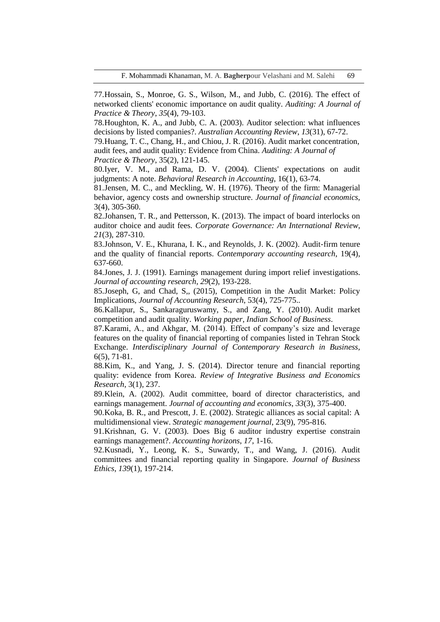F. Mohammadi Khanaman, M. A. **Bagherp**our Velashani and M. Salehi 69

77.Hossain, S., Monroe, G. S., Wilson, M., and Jubb, C. (2016). The effect of networked clients' economic importance on audit quality. *Auditing: A Journal of Practice & Theory*, *35*(4), 79-103.

78.Houghton, K. A., and Jubb, C. A. (2003). Auditor selection: what influences decisions by listed companies?. *Australian Accounting Review*, *13*(31), 67-72.

79.Huang, T. C., Chang, H., and Chiou, J. R. (2016). Audit market concentration, audit fees, and audit quality: Evidence from China. *Auditing: A Journal of* 

*Practice & Theory*, 35(2), 121-145.

80.Iyer, V. M., and Rama, D. V. (2004). Clients' expectations on audit judgments: A note. *Behavioral Research in Accounting*, 16(1), 63-74.

81.Jensen, M. C., and Meckling, W. H. (1976). Theory of the firm: Managerial behavior, agency costs and ownership structure. *Journal of financial economics,* 3(4), 305-360.

82.Johansen, T. R., and Pettersson, K. (2013). The impact of board interlocks on auditor choice and audit fees. *Corporate Governance: An International Review*, *21*(3), 287-310.

83.Johnson, V. E., Khurana, I. K., and Reynolds, J. K. (2002). Audit‐firm tenure and the quality of financial reports. *Contemporary accounting research*, 19(4), 637-660.

84.Jones, J. J. (1991). Earnings management during import relief investigations. *Journal of accounting research*, *29*(2), 193-228.

85.Joseph, G, and Chad, S,, (2015), Competition in the Audit Market: Policy Implications, *Journal of Accounting Research*, 53(4), 725-775..

86.Kallapur, S., Sankaraguruswamy, S., and Zang, Y. (2010). Audit market competition and audit quality. *Working paper, Indian School of Business*.

87.Karami, A., and Akhgar, M. (2014). Effect of company's size and leverage features on the quality of financial reporting of companies listed in Tehran Stock Exchange. *Interdisciplinary Journal of Contemporary Research in Business,* 6(5), 71-81.

88.Kim, K., and Yang, J. S. (2014). Director tenure and financial reporting quality: evidence from Korea. *Review of Integrative Business and Economics Research*, 3(1), 237.

89.Klein, A. (2002). Audit committee, board of director characteristics, and earnings management. *Journal of accounting and economics*, *33*(3), 375-400.

90.Koka, B. R., and Prescott, J. E. (2002). Strategic alliances as social capital: A multidimensional view. *Strategic management journal*, 23(9), 795-816.

91.Krishnan, G. V. (2003). Does Big 6 auditor industry expertise constrain earnings management?. *Accounting horizons*, *17*, 1-16.

92.Kusnadi, Y., Leong, K. S., Suwardy, T., and Wang, J. (2016). Audit committees and financial reporting quality in Singapore. *Journal of Business Ethics*, *139*(1), 197-214.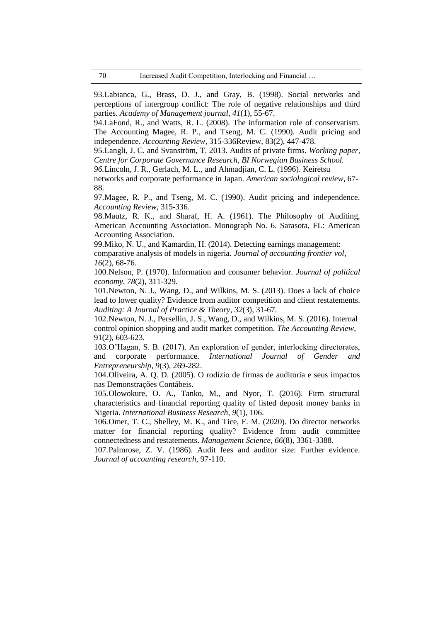93.Labianca, G., Brass, D. J., and Gray, B. (1998). Social networks and perceptions of intergroup conflict: The role of negative relationships and third parties. *Academy of Management journal*, *41*(1), 55-67.

94.LaFond, R., and Watts, R. L. (2008). The information role of conservatism. The Accounting Magee, R. P., and Tseng, M. C. (1990). Audit pricing and independence. *Accounting Review*, 315-336Review, 83(2), 447-478.

95.Langli, J. C. and Svanström, T. 2013. Audits of private firms. *Working paper, Centre for Corporate Governance Research, BI Norwegian Business School.*

*96.*Lincoln, J. R., Gerlach, M. L., and Ahmadjian, C. L. (1996). Keiretsu

networks and corporate performance in Japan*. American sociological review,* 67- 88.

97.Magee, R. P., and Tseng, M. C. (1990). Audit pricing and independence. *Accounting Review*, 315-336.

98.Mautz, R. K., and Sharaf, H. A. (1961). The Philosophy of Auditing, American Accounting Association. Monograph No. 6. Sarasota, FL: American Accounting Association.

99.Miko, N. U., and Kamardin, H. (2014). Detecting earnings management:

comparative analysis of models in nigeria. *Journal of accounting frontier vol*, *16*(2), 68-76.

100.Nelson, P. (1970). Information and consumer behavior. *Journal of political economy*, *78*(2), 311-329.

101.Newton, N. J., Wang, D., and Wilkins, M. S. (2013). Does a lack of choice lead to lower quality? Evidence from auditor competition and client restatements. *Auditing: A Journal of Practice & Theory*, *32*(3), 31-67.

102.Newton, N. J., Persellin, J. S., Wang, D., and Wilkins, M. S. (2016). Internal control opinion shopping and audit market competition. *The Accounting Review*, 91(2), 603-623.

103.O'Hagan, S. B. (2017). An exploration of gender, interlocking directorates, and corporate performance. *International Journal of Gender Entrepreneurship*, *9*(3), 269-282.

104.Oliveira, A. Q. D. (2005). O rodízio de firmas de auditoria e seus impactos nas Demonstrações Contábeis.

105.Olowokure, O. A., Tanko, M., and Nyor, T. (2016). Firm structural characteristics and financial reporting quality of listed deposit money banks in Nigeria. *International Business Research*, *9*(1), 106.

106.Omer, T. C., Shelley, M. K., and Tice, F. M. (2020). Do director networks matter for financial reporting quality? Evidence from audit committee connectedness and restatements. *Management Science*, *66*(8), 3361-3388.

107.Palmrose, Z. V. (1986). Audit fees and auditor size: Further evidence. *Journal of accounting research*, 97-110.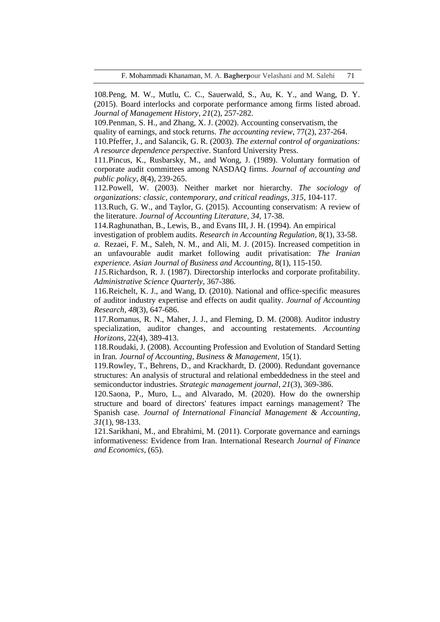108.Peng, M. W., Mutlu, C. C., Sauerwald, S., Au, K. Y., and Wang, D. Y. (2015). Board interlocks and corporate performance among firms listed abroad. *Journal of Management History*, *21*(2), 257-282.

109.Penman, S. H., and Zhang, X. J. (2002). Accounting conservatism, the

quality of earnings, and stock returns. *The accounting review*, 77(2), 237-264.

110.Pfeffer, J., and Salancik, G. R. (2003). *The external control of organizations: A resource dependence perspective*. Stanford University Press.

111.Pincus, K., Rusbarsky, M., and Wong, J. (1989). Voluntary formation of corporate audit committees among NASDAQ firms. *Journal of accounting and public policy*, *8*(4), 239-265.

112.Powell, W. (2003). Neither market nor hierarchy. *The sociology of organizations: classic, contemporary, and critical readings*, *315*, 104-117.

113.Ruch, G. W., and Taylor, G. (2015). Accounting conservatism: A review of the literature. *Journal of Accounting Literature*, *34*, 17-38.

114.Raghunathan, B., Lewis, B., and Evans III, J. H. (1994). An empirical

investigation of problem audits. *Research in Accounting Regulation*, 8(1), 33-58.

*a.* Rezaei, F. M., Saleh, N. M., and Ali, M. J. (2015). Increased competition in an unfavourable audit market following audit privatisation: *The Iranian experience. Asian Journal of Business and Accounting*, 8(1), 115-150.

*115.*Richardson, R. J. (1987). Directorship interlocks and corporate profitability. *Administrative Science Quarterly*, 367-386.

116.Reichelt, K. J., and Wang, D. (2010). National and office‐specific measures of auditor industry expertise and effects on audit quality. *Journal of Accounting Research*, *48*(3), 647-686.

117.Romanus, R. N., Maher, J. J., and Fleming, D. M. (2008). Auditor industry specialization, auditor changes, and accounting restatements. *Accounting Horizons*, 22(4), 389-413.

118.Roudaki, J. (2008). Accounting Profession and Evolution of Standard Setting in Iran*. Journal of Accounting, Business & Management*, 15(1).

119.Rowley, T., Behrens, D., and Krackhardt, D. (2000). Redundant governance structures: An analysis of structural and relational embeddedness in the steel and semiconductor industries. *Strategic management journal*, *21*(3), 369-386.

120.Saona, P., Muro, L., and Alvarado, M. (2020). How do the ownership structure and board of directors' features impact earnings management? The Spanish case. *Journal of International Financial Management & Accounting*, *31*(1), 98-133.

121.Sarikhani, M., and Ebrahimi, M. (2011). Corporate governance and earnings informativeness: Evidence from Iran. International Research *Journal of Finance and Economics*, (65).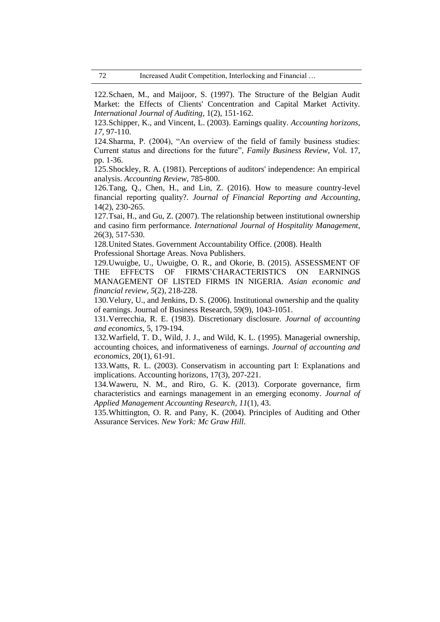122.Schaen, M., and Maijoor, S. (1997). The Structure of the Belgian Audit Market: the Effects of Clients' Concentration and Capital Market Activity. *International Journal of Auditing*, 1(2), 151-162.

123.Schipper, K., and Vincent, L. (2003). Earnings quality. *Accounting horizons*, *17*, 97-110.

124.Sharma, P. (2004), "An overview of the field of family business studies: Current status and directions for the future", *Family Business Review*, Vol. 17, pp. 1-36.

125.Shockley, R. A. (1981). Perceptions of auditors' independence: An empirical analysis. *Accounting Review*, 785-800.

126.Tang, Q., Chen, H., and Lin, Z. (2016). How to measure country-level financial reporting quality?. *Journal of Financial Reporting and Accounting*, 14(2), 230-265.

127.Tsai, H., and Gu, Z. (2007). The relationship between institutional ownership and casino firm performance. *International Journal of Hospitality Management*, 26(3), 517-530.

128.United States. Government Accountability Office. (2008). Health Professional Shortage Areas. Nova Publishers.

129.Uwuigbe, U., Uwuigbe, O. R., and Okorie, B. (2015). ASSESSMENT OF THE EFFECTS OF FIRMS'CHARACTERISTICS ON EARNINGS MANAGEMENT OF LISTED FIRMS IN NIGERIA. *Asian economic and financial review*, *5*(2), 218-228.

130.Velury, U., and Jenkins, D. S. (2006). Institutional ownership and the quality of earnings. Journal of Business Research, 59(9), 1043-1051.

131.Verrecchia, R. E. (1983). Discretionary disclosure. *Journal of accounting and economics*, 5, 179-194.

132.Warfield, T. D., Wild, J. J., and Wild, K. L. (1995). Managerial ownership, accounting choices, and informativeness of earnings. *Journal of accounting and economics*, 20(1), 61-91.

133.Watts, R. L. (2003). Conservatism in accounting part I: Explanations and implications. Accounting horizons, 17(3), 207-221.

134.Waweru, N. M., and Riro, G. K. (2013). Corporate governance, firm characteristics and earnings management in an emerging economy. *Journal of Applied Management Accounting Research*, *11*(1), 43.

135.Whittington, O. R. and Pany, K. (2004). Principles of Auditing and Other Assurance Services. *New York: Mc Graw Hill*.